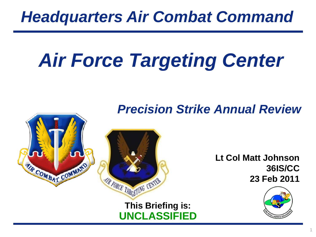### *Headquarters Air Combat Command*

# *Air Force Targeting Center*

**This Briefing is:**

AIR FORCE TARGETING CENTER

THE COMBAT COMMAND

**UNCLASSIFIED**

*Precision Strike Annual Review* 

**Lt Col Matt Johnson 36IS/CC 23 Feb 2011**

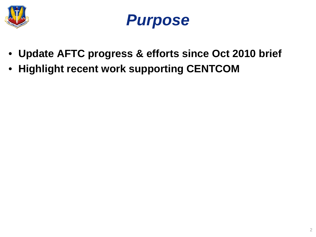



- **Update AFTC progress & efforts since Oct 2010 brief**
- **Highlight recent work supporting CENTCOM**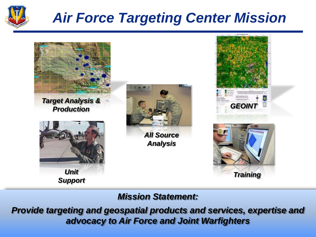

#### *Air Force Targeting Center Mission*



*Mission Statement:*

*Provide targeting and geospatial products and services, expertise and advocacy to Air Force and Joint Warfighters*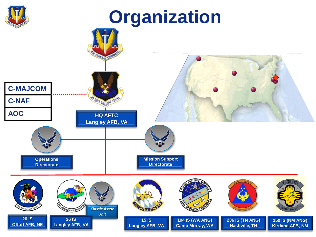

## **Organization**

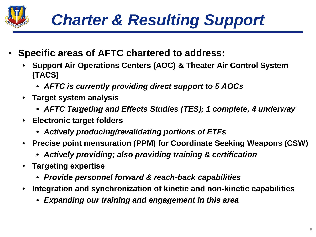

- **Specific areas of AFTC chartered to address:**
	- **Support Air Operations Centers (AOC) & Theater Air Control System (TACS)**
		- *AFTC is currently providing direct support to 5 AOCs*
	- **Target system analysis**
		- *AFTC Targeting and Effects Studies (TES); 1 complete, 4 underway*
	- **Electronic target folders**
		- *Actively producing/revalidating portions of ETFs*
	- **Precise point mensuration (PPM) for Coordinate Seeking Weapons (CSW)**
		- *Actively providing; also providing training & certification*
	- **Targeting expertise**
		- *Provide personnel forward & reach-back capabilities*
	- **Integration and synchronization of kinetic and non-kinetic capabilities**
		- *Expanding our training and engagement in this area*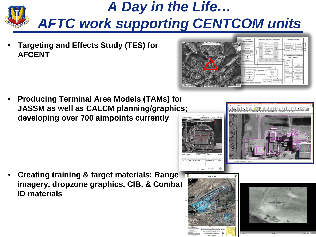

• **Targeting and Effects Study (TES) for AFCENT**

• **Producing Terminal Area Models (TAMs) for JASSM as well as CALCM planning/graphics; developing over 700 aimpoints currently**

• **Creating training & target materials: Range imagery, dropzone graphics, CIB, & Combat ID materials**



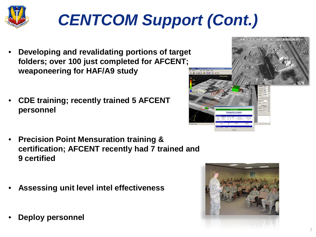

## *CENTCOM Support (Cont.)*

- **Developing and revalidating portions of target folders; over 100 just completed for AFCENT; weaponeering for HAF/A9 study**
- **CDE training; recently trained 5 AFCENT personnel**
- **Precision Point Mensuration training & certification; AFCENT recently had 7 trained and 9 certified**
- **Assessing unit level intel effectiveness**
- **Deploy personnel**



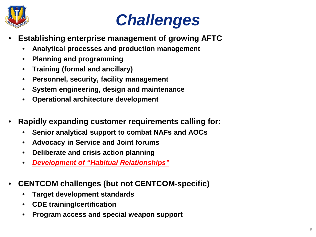

## *Challenges*

- **Establishing enterprise management of growing AFTC**
	- **Analytical processes and production management**
	- **Planning and programming**
	- **Training (formal and ancillary)**
	- **Personnel, security, facility management**
	- **System engineering, design and maintenance**
	- **Operational architecture development**
- **Rapidly expanding customer requirements calling for:** 
	- **Senior analytical support to combat NAFs and AOCs**
	- **Advocacy in Service and Joint forums**
	- **Deliberate and crisis action planning**
	- *Development of "Habitual Relationships"*
- **CENTCOM challenges (but not CENTCOM-specific)**
	- **Target development standards**
	- **CDE training/certification**
	- **Program access and special weapon support**